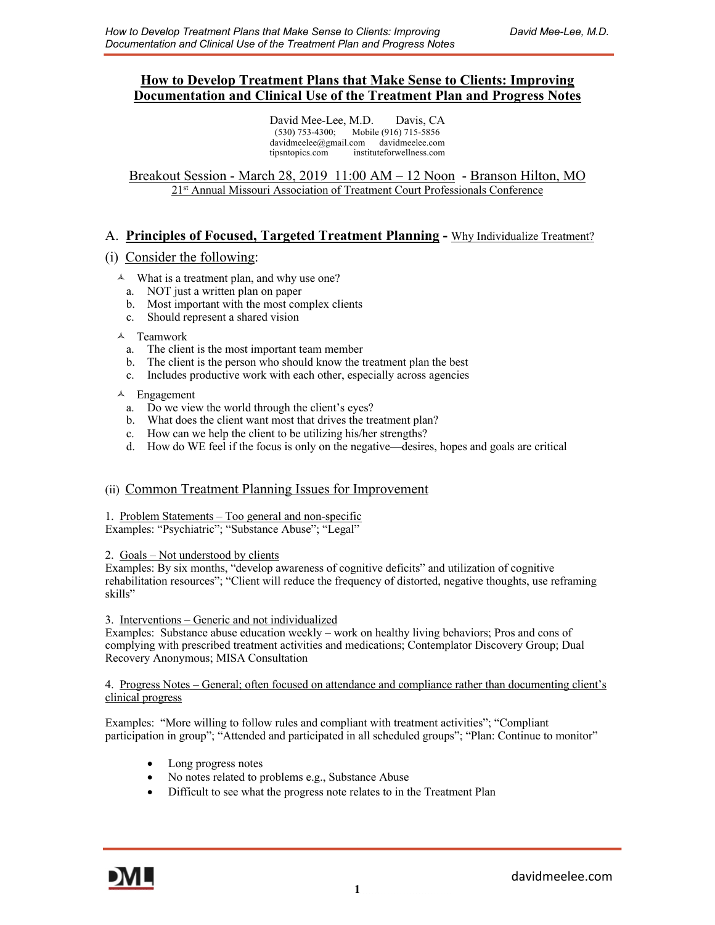## **How to Develop Treatment Plans that Make Sense to Clients: Improving Documentation and Clinical Use of the Treatment Plan and Progress Notes**

David Mee-Lee, M.D. Davis, CA (530) 753-4300; Mobile (916) 715-5856 davidmeelee@gmail.com davidmeelee.com tipsntopics.com instituteforwellness.com

Breakout Session - March 28, 2019 11:00 AM – 12 Noon - Branson Hilton, MO 21st Annual Missouri Association of Treatment Court Professionals Conference

### A. **Principles of Focused, Targeted Treatment Planning -** Why Individualize Treatment?

### (i) Consider the following:

- $\lambda$  What is a treatment plan, and why use one?
	- a. NOT just a written plan on paper
	- b. Most important with the most complex clients
	- c. Should represent a shared vision

### $\lambda$  Teamwork

- a. The client is the most important team member
- b. The client is the person who should know the treatment plan the best
- c. Includes productive work with each other, especially across agencies

### $\triangle$  Engagement

- a. Do we view the world through the client's eyes?
- b. What does the client want most that drives the treatment plan?
- c. How can we help the client to be utilizing his/her strengths?
- d. How do WE feel if the focus is only on the negative—desires, hopes and goals are critical

### (ii)Common Treatment Planning Issues for Improvement

#### 1. Problem Statements – Too general and non-specific Examples: "Psychiatric"; "Substance Abuse"; "Legal"

#### 2. Goals – Not understood by clients

Examples: By six months, "develop awareness of cognitive deficits" and utilization of cognitive rehabilitation resources"; "Client will reduce the frequency of distorted, negative thoughts, use reframing skills"

#### 3. Interventions – Generic and not individualized

Examples: Substance abuse education weekly – work on healthy living behaviors; Pros and cons of complying with prescribed treatment activities and medications; Contemplator Discovery Group; Dual Recovery Anonymous; MISA Consultation

#### 4. Progress Notes – General; often focused on attendance and compliance rather than documenting client's clinical progress

Examples: "More willing to follow rules and compliant with treatment activities"; "Compliant participation in group"; "Attended and participated in all scheduled groups"; "Plan: Continue to monitor"

- Long progress notes
- No notes related to problems e.g., Substance Abuse
- Difficult to see what the progress note relates to in the Treatment Plan

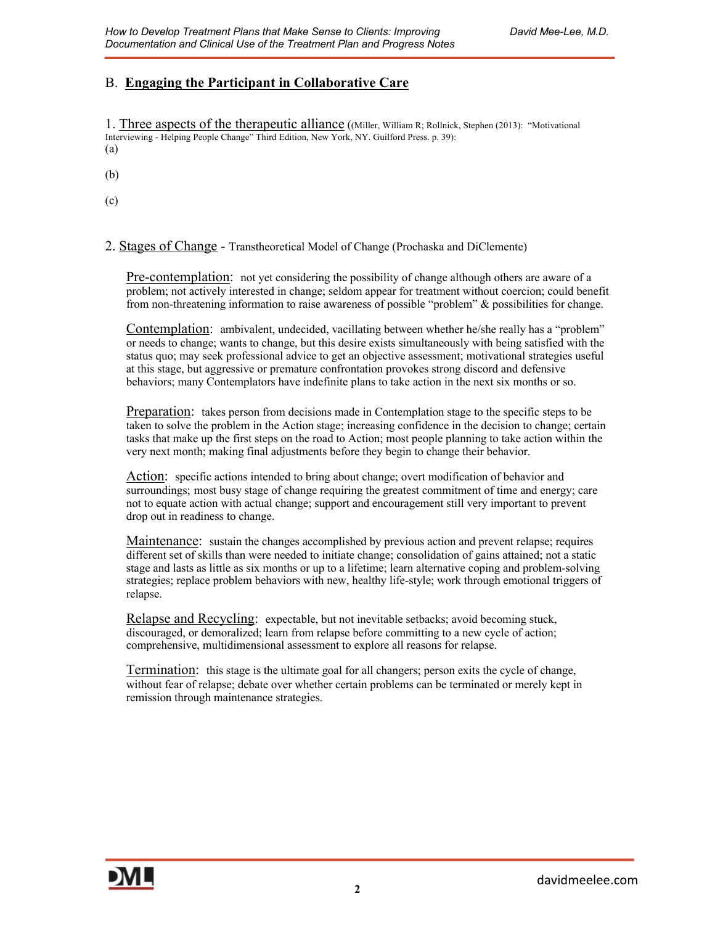# B. **Engaging the Participant in Collaborative Care**

1. Three aspects of the therapeutic alliance ((Miller, William R; Rollnick, Stephen (2013): "Motivational Interviewing - Helping People Change" Third Edition, New York, NY. Guilford Press. p. 39): (a)

(b)

(c)

2. Stages of Change - Transtheoretical Model of Change (Prochaska and DiClemente)

Pre-contemplation: not yet considering the possibility of change although others are aware of a problem; not actively interested in change; seldom appear for treatment without coercion; could benefit from non-threatening information to raise awareness of possible "problem" & possibilities for change.

Contemplation: ambivalent, undecided, vacillating between whether he/she really has a "problem" or needs to change; wants to change, but this desire exists simultaneously with being satisfied with the status quo; may seek professional advice to get an objective assessment; motivational strategies useful at this stage, but aggressive or premature confrontation provokes strong discord and defensive behaviors; many Contemplators have indefinite plans to take action in the next six months or so.

Preparation: takes person from decisions made in Contemplation stage to the specific steps to be taken to solve the problem in the Action stage; increasing confidence in the decision to change; certain tasks that make up the first steps on the road to Action; most people planning to take action within the very next month; making final adjustments before they begin to change their behavior.

Action: specific actions intended to bring about change; overt modification of behavior and surroundings; most busy stage of change requiring the greatest commitment of time and energy; care not to equate action with actual change; support and encouragement still very important to prevent drop out in readiness to change.

Maintenance: sustain the changes accomplished by previous action and prevent relapse; requires different set of skills than were needed to initiate change; consolidation of gains attained; not a static stage and lasts as little as six months or up to a lifetime; learn alternative coping and problem-solving strategies; replace problem behaviors with new, healthy life-style; work through emotional triggers of relapse.

Relapse and Recycling: expectable, but not inevitable setbacks; avoid becoming stuck, discouraged, or demoralized; learn from relapse before committing to a new cycle of action; comprehensive, multidimensional assessment to explore all reasons for relapse.

Termination: this stage is the ultimate goal for all changers; person exits the cycle of change, without fear of relapse; debate over whether certain problems can be terminated or merely kept in remission through maintenance strategies.

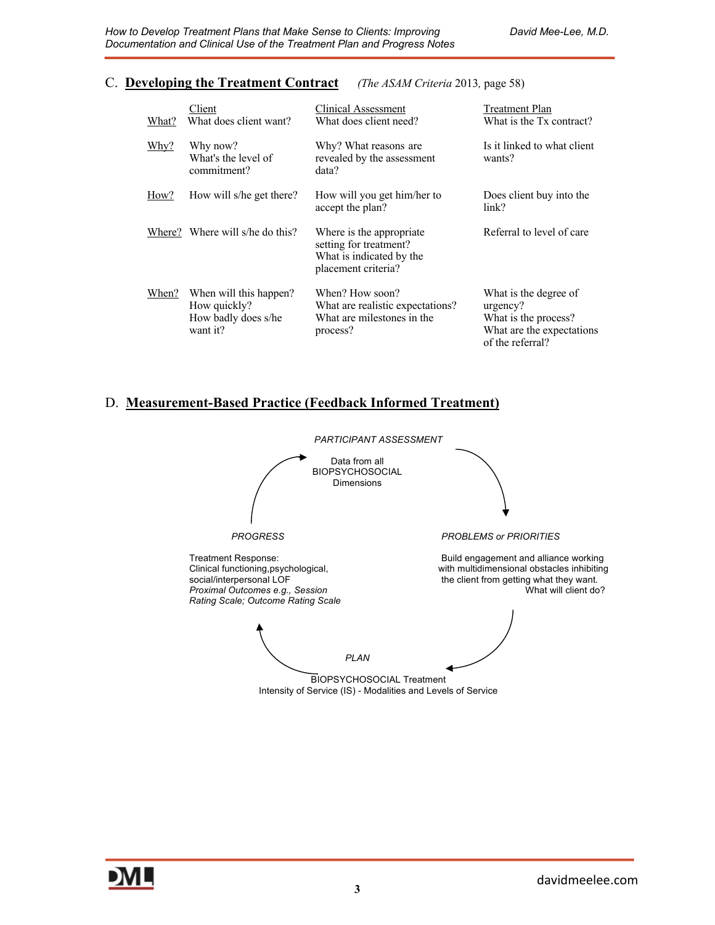### C. **Developing the Treatment Contract** *(The ASAM Criteria* 2013*,* page 58)

### Client Clinical Assessment Treatment Plan What? What does client want? What does client need? What is the Tx contract? Why? Why now? Why? What reasons are Is it linked to what client What's the level of revealed by the assessment wants? commitment? data? How? How will s/he get there? How will you get him/her to Does client buy into the accept the plan? link? Where? Where will s/he do this? Where is the appropriate Referral to level of care setting for treatment? What is indicated by the placement criteria? When? When will this happen? When? How soon? What is the degree of How quickly? What are realistic expectations? urgency?<br>
How badly does s/he What are milestones in the What is the process? How badly does s/he What are milestones in the want it? process? The process process is the expectations what are the expectations of the referral?

### D. **Measurement-Based Practice (Feedback Informed Treatment)**

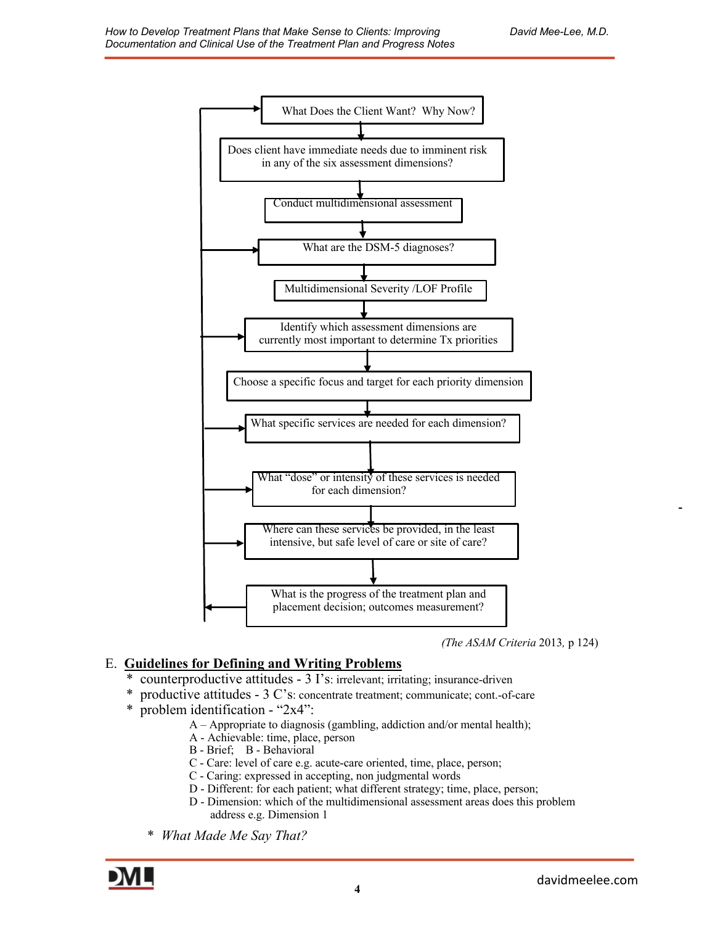

*(The ASAM Criteria* 2013*,* p 124)

# E. **Guidelines for Defining and Writing Problems**

- \* counterproductive attitudes 3 I's: irrelevant; irritating; insurance-driven
- \* productive attitudes 3 C's: concentrate treatment; communicate; cont.-of-care
- \* problem identification "2x4":
	- A Appropriate to diagnosis (gambling, addiction and/or mental health);
	- A Achievable: time, place, person
	- B Brief; B Behavioral
	- C Care: level of care e.g. acute-care oriented, time, place, person;
	- C Caring: expressed in accepting, non judgmental words
	- D Different: for each patient; what different strategy; time, place, person;
	- D Dimension: which of the multidimensional assessment areas does this problem address e.g. Dimension 1
	- \* *What Made Me Say That?*